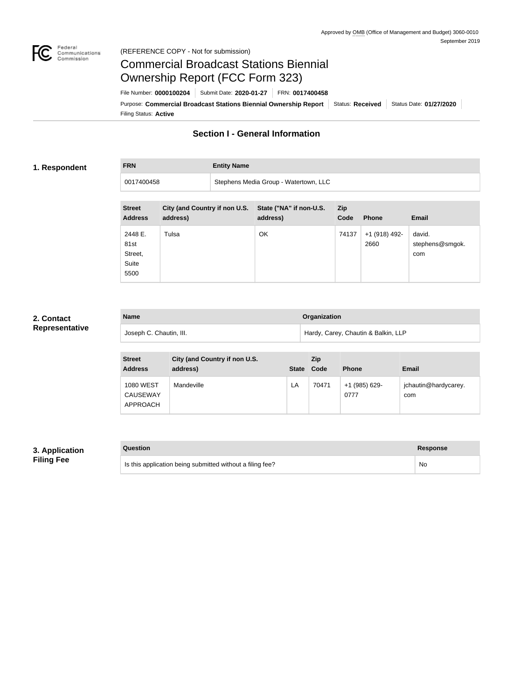

# Federal<br>Communications<br>Commission (REFERENCE COPY - Not for submission)

# Commercial Broadcast Stations Biennial Ownership Report (FCC Form 323)

Filing Status: **Active** Purpose: Commercial Broadcast Stations Biennial Ownership Report Status: Received Status Date: 01/27/2020 File Number: **0000100204** Submit Date: **2020-01-27** FRN: **0017400458**

# **Section I - General Information**

# **1. Respondent**

**FRN Entity Name**

0017400458 Stephens Media Group - Watertown, LLC

| <b>Street</b><br><b>Address</b>             | <b>City (and Country if non U.S.</b><br>address) | State ("NA" if non-U.S.<br>address) | Zip<br>Code | <b>Phone</b>          | <b>Email</b>                     |
|---------------------------------------------|--------------------------------------------------|-------------------------------------|-------------|-----------------------|----------------------------------|
| 2448 E.<br>81st<br>Street,<br>Suite<br>5500 | Tulsa                                            | OK                                  | 74137       | +1 (918) 492-<br>2660 | david.<br>stephens@smgok.<br>com |

### **2. Contact Representative**

| <b>Name</b>             | Organization                        |
|-------------------------|-------------------------------------|
| Joseph C. Chautin, III. | Hardy, Carey, Chautin & Balkin, LLP |

| <b>Street</b><br><b>Address</b>                 | City (and Country if non U.S.<br>address) | <b>State</b> | Zip<br>Code | <b>Phone</b>          | Email                       |
|-------------------------------------------------|-------------------------------------------|--------------|-------------|-----------------------|-----------------------------|
| <b>1080 WEST</b><br><b>CAUSEWAY</b><br>APPROACH | Mandeville                                | LA           | 70471       | +1 (985) 629-<br>0777 | jchautin@hardycarey.<br>com |

# **3. Application Filing Fee**

| Question                                                  | <b>Response</b> |
|-----------------------------------------------------------|-----------------|
| Is this application being submitted without a filing fee? | No              |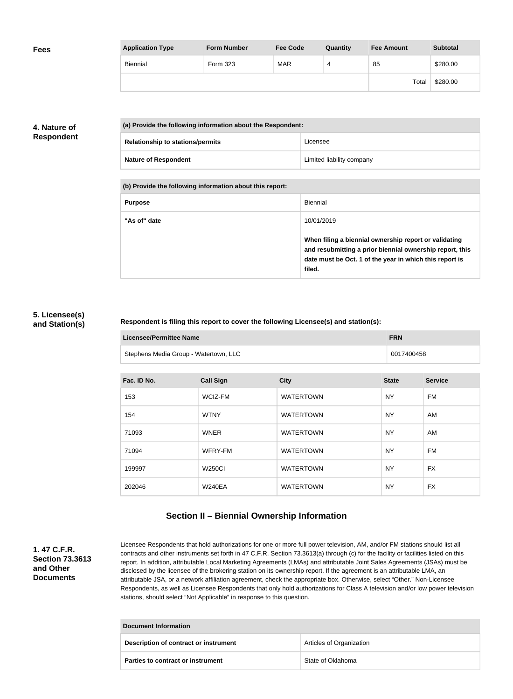| <b>Fees</b> | <b>Application Type</b> | <b>Form Number</b> | <b>Fee Code</b> | Quantity | <b>Fee Amount</b> | <b>Subtotal</b> |
|-------------|-------------------------|--------------------|-----------------|----------|-------------------|-----------------|
|             | Biennial                | Form 323           | <b>MAR</b>      | 4        | 85                | \$280.00        |
|             |                         |                    |                 |          | Total             | \$280.00        |

# **4. Nature of Respondent**

| (a) Provide the following information about the Respondent: |                           |
|-------------------------------------------------------------|---------------------------|
| <b>Relationship to stations/permits</b>                     | Licensee                  |
| <b>Nature of Respondent</b>                                 | Limited liability company |

**(b) Provide the following information about this report:**

| <b>Purpose</b> | Biennial                                                                                                                                                                               |
|----------------|----------------------------------------------------------------------------------------------------------------------------------------------------------------------------------------|
| "As of" date   | 10/01/2019                                                                                                                                                                             |
|                | When filing a biennial ownership report or validating<br>and resubmitting a prior biennial ownership report, this<br>date must be Oct. 1 of the year in which this report is<br>filed. |

# **5. Licensee(s) and Station(s)**

### **Respondent is filing this report to cover the following Licensee(s) and station(s):**

| Licensee/Permittee Name               | <b>FRN</b> |
|---------------------------------------|------------|
| Stephens Media Group - Watertown, LLC | 0017400458 |

| Fac. ID No. | <b>Call Sign</b> | <b>City</b>      | <b>State</b> | <b>Service</b> |
|-------------|------------------|------------------|--------------|----------------|
| 153         | WCIZ-FM          | <b>WATERTOWN</b> | <b>NY</b>    | <b>FM</b>      |
| 154         | <b>WTNY</b>      | <b>WATERTOWN</b> | <b>NY</b>    | AM             |
| 71093       | <b>WNER</b>      | <b>WATERTOWN</b> | <b>NY</b>    | AM             |
| 71094       | WFRY-FM          | <b>WATERTOWN</b> | <b>NY</b>    | <b>FM</b>      |
| 199997      | <b>W250CI</b>    | <b>WATERTOWN</b> | <b>NY</b>    | <b>FX</b>      |
| 202046      | <b>W240EA</b>    | <b>WATERTOWN</b> | <b>NY</b>    | <b>FX</b>      |

# **Section II – Biennial Ownership Information**

**1. 47 C.F.R. Section 73.3613 and Other Documents**

Licensee Respondents that hold authorizations for one or more full power television, AM, and/or FM stations should list all contracts and other instruments set forth in 47 C.F.R. Section 73.3613(a) through (c) for the facility or facilities listed on this report. In addition, attributable Local Marketing Agreements (LMAs) and attributable Joint Sales Agreements (JSAs) must be disclosed by the licensee of the brokering station on its ownership report. If the agreement is an attributable LMA, an attributable JSA, or a network affiliation agreement, check the appropriate box. Otherwise, select "Other." Non-Licensee Respondents, as well as Licensee Respondents that only hold authorizations for Class A television and/or low power television stations, should select "Not Applicable" in response to this question.

| Document Information                  |                          |  |
|---------------------------------------|--------------------------|--|
| Description of contract or instrument | Articles of Organization |  |
| Parties to contract or instrument     | State of Oklahoma        |  |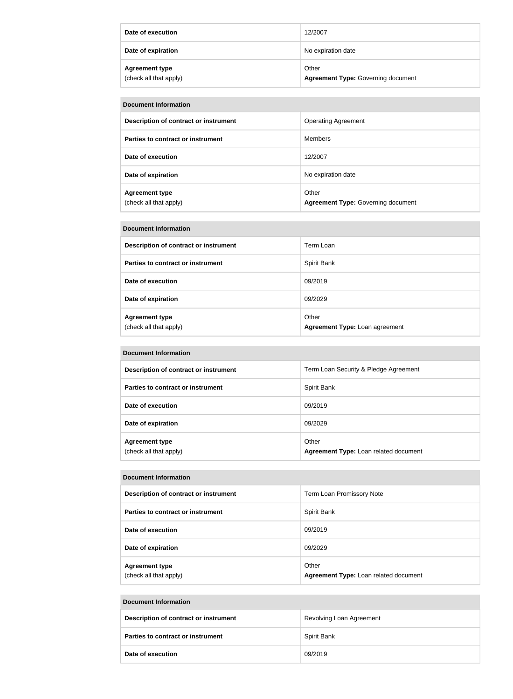| Date of execution                               | 12/2007                                            |
|-------------------------------------------------|----------------------------------------------------|
| Date of expiration                              | No expiration date                                 |
| <b>Agreement type</b><br>(check all that apply) | Other<br><b>Agreement Type: Governing document</b> |

| <b>Document Information</b>                     |                                                    |  |
|-------------------------------------------------|----------------------------------------------------|--|
| Description of contract or instrument           | <b>Operating Agreement</b>                         |  |
| Parties to contract or instrument               | <b>Members</b>                                     |  |
| Date of execution                               | 12/2007                                            |  |
| Date of expiration                              | No expiration date                                 |  |
| <b>Agreement type</b><br>(check all that apply) | Other<br><b>Agreement Type: Governing document</b> |  |

#### **Document Information**

| Description of contract or instrument           | Term Loan                               |
|-------------------------------------------------|-----------------------------------------|
| Parties to contract or instrument               | Spirit Bank                             |
| Date of execution                               | 09/2019                                 |
| Date of expiration                              | 09/2029                                 |
| <b>Agreement type</b><br>(check all that apply) | Other<br>Agreement Type: Loan agreement |

#### **Document Information**

| Description of contract or instrument           | Term Loan Security & Pledge Agreement          |
|-------------------------------------------------|------------------------------------------------|
| Parties to contract or instrument               | Spirit Bank                                    |
| Date of execution                               | 09/2019                                        |
| Date of expiration                              | 09/2029                                        |
| <b>Agreement type</b><br>(check all that apply) | Other<br>Agreement Type: Loan related document |

#### **Document Information**

| Description of contract or instrument           | Term Loan Promissory Note                      |
|-------------------------------------------------|------------------------------------------------|
| Parties to contract or instrument               | Spirit Bank                                    |
| Date of execution                               | 09/2019                                        |
| Date of expiration                              | 09/2029                                        |
| <b>Agreement type</b><br>(check all that apply) | Other<br>Agreement Type: Loan related document |

### **Document Information**

| Description of contract or instrument    | Revolving Loan Agreement |
|------------------------------------------|--------------------------|
| <b>Parties to contract or instrument</b> | Spirit Bank              |
| Date of execution                        | 09/2019                  |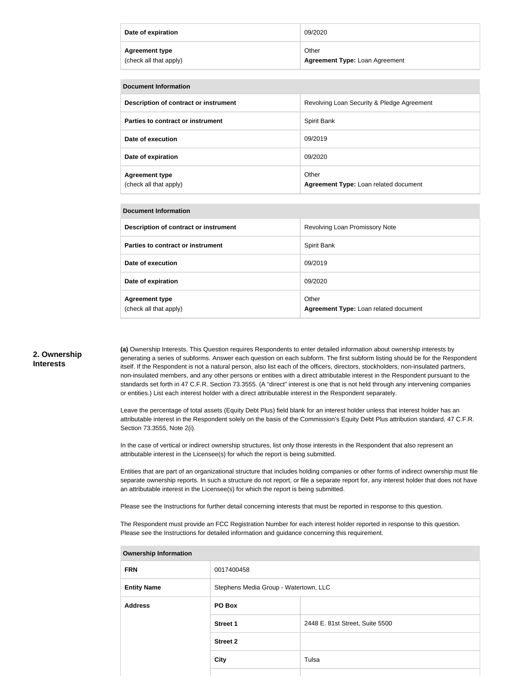| Date of expiration     | 09/2020                               |
|------------------------|---------------------------------------|
| <b>Agreement type</b>  | Other                                 |
| (check all that apply) | <b>Agreement Type: Loan Agreement</b> |

| <b>Document Information</b>                     |                                                |  |
|-------------------------------------------------|------------------------------------------------|--|
| Description of contract or instrument           | Revolving Loan Security & Pledge Agreement     |  |
| Parties to contract or instrument               | Spirit Bank                                    |  |
| Date of execution                               | 09/2019                                        |  |
| Date of expiration                              | 09/2020                                        |  |
| <b>Agreement type</b><br>(check all that apply) | Other<br>Agreement Type: Loan related document |  |

| <b>Document Information</b>                     |                                                |  |
|-------------------------------------------------|------------------------------------------------|--|
| Description of contract or instrument           | Revolving Loan Promissory Note                 |  |
| Parties to contract or instrument               | Spirit Bank                                    |  |
| Date of execution                               | 09/2019                                        |  |
| Date of expiration                              | 09/2020                                        |  |
| <b>Agreement type</b><br>(check all that apply) | Other<br>Agreement Type: Loan related document |  |

### **2. Ownership Interests**

**(a)** Ownership Interests. This Question requires Respondents to enter detailed information about ownership interests by generating a series of subforms. Answer each question on each subform. The first subform listing should be for the Respondent itself. If the Respondent is not a natural person, also list each of the officers, directors, stockholders, non-insulated partners, non-insulated members, and any other persons or entities with a direct attributable interest in the Respondent pursuant to the standards set forth in 47 C.F.R. Section 73.3555. (A "direct" interest is one that is not held through any intervening companies or entities.) List each interest holder with a direct attributable interest in the Respondent separately.

Leave the percentage of total assets (Equity Debt Plus) field blank for an interest holder unless that interest holder has an attributable interest in the Respondent solely on the basis of the Commission's Equity Debt Plus attribution standard, 47 C.F.R. Section 73.3555, Note 2(i).

In the case of vertical or indirect ownership structures, list only those interests in the Respondent that also represent an attributable interest in the Licensee(s) for which the report is being submitted.

Entities that are part of an organizational structure that includes holding companies or other forms of indirect ownership must file separate ownership reports. In such a structure do not report, or file a separate report for, any interest holder that does not have an attributable interest in the Licensee(s) for which the report is being submitted.

Please see the Instructions for further detail concerning interests that must be reported in response to this question.

The Respondent must provide an FCC Registration Number for each interest holder reported in response to this question. Please see the Instructions for detailed information and guidance concerning this requirement.

| <b>FRN</b>         | 0017400458                            |                                 |
|--------------------|---------------------------------------|---------------------------------|
| <b>Entity Name</b> | Stephens Media Group - Watertown, LLC |                                 |
| <b>Address</b>     | PO Box                                |                                 |
|                    | <b>Street 1</b>                       | 2448 E. 81st Street, Suite 5500 |
|                    | <b>Street 2</b>                       |                                 |
|                    | <b>City</b>                           | Tulsa                           |
|                    |                                       |                                 |

#### **Ownership Information**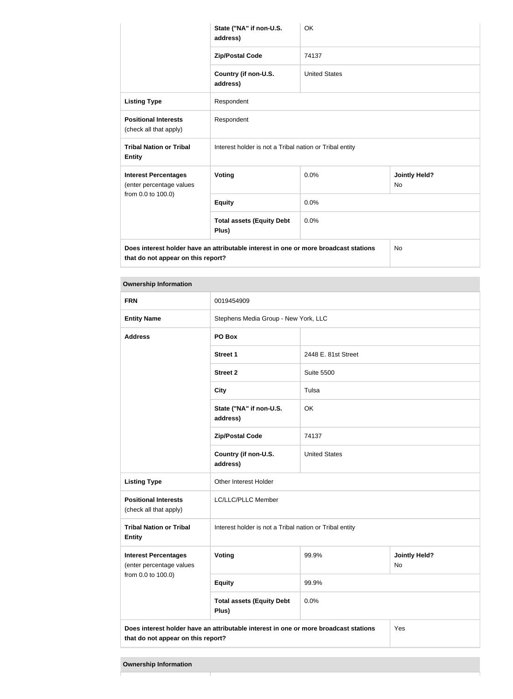|                                                                                                                            | State ("NA" if non-U.S.<br>address)                     | <b>OK</b>            |                                   |
|----------------------------------------------------------------------------------------------------------------------------|---------------------------------------------------------|----------------------|-----------------------------------|
|                                                                                                                            | <b>Zip/Postal Code</b>                                  | 74137                |                                   |
|                                                                                                                            | Country (if non-U.S.<br>address)                        | <b>United States</b> |                                   |
| <b>Listing Type</b>                                                                                                        | Respondent                                              |                      |                                   |
| <b>Positional Interests</b><br>(check all that apply)                                                                      | Respondent                                              |                      |                                   |
| <b>Tribal Nation or Tribal</b><br><b>Entity</b>                                                                            | Interest holder is not a Tribal nation or Tribal entity |                      |                                   |
| <b>Interest Percentages</b><br>(enter percentage values<br>from 0.0 to 100.0)                                              | <b>Voting</b>                                           | 0.0%                 | <b>Jointly Held?</b><br><b>No</b> |
|                                                                                                                            | <b>Equity</b>                                           | 0.0%                 |                                   |
|                                                                                                                            | <b>Total assets (Equity Debt</b><br>Plus)               | 0.0%                 |                                   |
| Does interest holder have an attributable interest in one or more broadcast stations<br>that do not appear on this report? |                                                         | <b>No</b>            |                                   |

| <b>Ownership Information</b>                                                         |                                                         |                                      |                            |
|--------------------------------------------------------------------------------------|---------------------------------------------------------|--------------------------------------|----------------------------|
| <b>FRN</b>                                                                           | 0019454909                                              |                                      |                            |
| <b>Entity Name</b>                                                                   |                                                         | Stephens Media Group - New York, LLC |                            |
| <b>Address</b>                                                                       | PO Box                                                  |                                      |                            |
|                                                                                      | <b>Street 1</b>                                         | 2448 E. 81st Street                  |                            |
|                                                                                      | <b>Street 2</b>                                         | <b>Suite 5500</b>                    |                            |
|                                                                                      | <b>City</b>                                             | Tulsa                                |                            |
|                                                                                      | State ("NA" if non-U.S.<br>address)                     | OK                                   |                            |
|                                                                                      | <b>Zip/Postal Code</b>                                  | 74137                                |                            |
|                                                                                      | Country (if non-U.S.<br>address)                        | <b>United States</b>                 |                            |
| <b>Listing Type</b>                                                                  | Other Interest Holder                                   |                                      |                            |
| <b>Positional Interests</b><br>(check all that apply)                                | LC/LLC/PLLC Member                                      |                                      |                            |
| <b>Tribal Nation or Tribal</b><br><b>Entity</b>                                      | Interest holder is not a Tribal nation or Tribal entity |                                      |                            |
| <b>Interest Percentages</b><br>(enter percentage values<br>from 0.0 to 100.0)        | Voting                                                  | 99.9%                                | <b>Jointly Held?</b><br>No |
|                                                                                      | <b>Equity</b>                                           | 99.9%                                |                            |
|                                                                                      | <b>Total assets (Equity Debt</b><br>Plus)               | 0.0%                                 |                            |
| Does interest holder have an attributable interest in one or more broadcast stations |                                                         |                                      | Yes                        |

**that do not appear on this report?**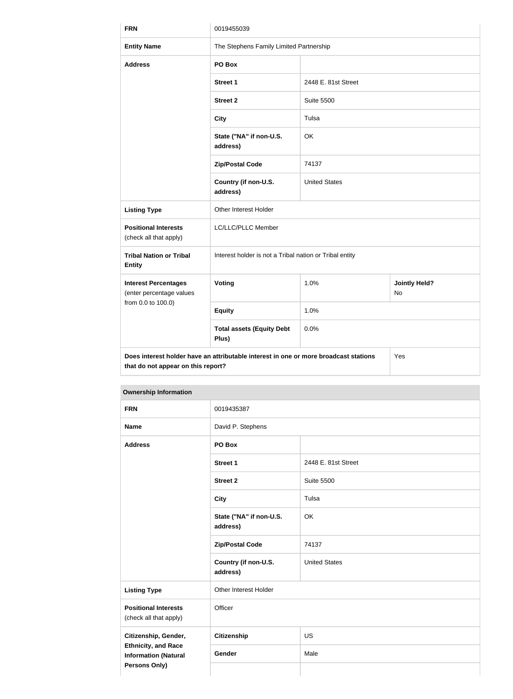| <b>FRN</b>                                                                                                                        | 0019455039                                              |                      |                            |
|-----------------------------------------------------------------------------------------------------------------------------------|---------------------------------------------------------|----------------------|----------------------------|
| <b>Entity Name</b>                                                                                                                | The Stephens Family Limited Partnership                 |                      |                            |
| <b>Address</b>                                                                                                                    | PO Box                                                  |                      |                            |
|                                                                                                                                   | <b>Street 1</b>                                         | 2448 E. 81st Street  |                            |
|                                                                                                                                   | <b>Street 2</b>                                         | <b>Suite 5500</b>    |                            |
|                                                                                                                                   | <b>City</b>                                             | Tulsa                |                            |
|                                                                                                                                   | State ("NA" if non-U.S.<br>address)                     | OK                   |                            |
|                                                                                                                                   | <b>Zip/Postal Code</b>                                  | 74137                |                            |
|                                                                                                                                   | Country (if non-U.S.<br>address)                        | <b>United States</b> |                            |
| <b>Listing Type</b>                                                                                                               | Other Interest Holder                                   |                      |                            |
| <b>Positional Interests</b><br>(check all that apply)                                                                             | LC/LLC/PLLC Member                                      |                      |                            |
| <b>Tribal Nation or Tribal</b><br><b>Entity</b>                                                                                   | Interest holder is not a Tribal nation or Tribal entity |                      |                            |
| <b>Interest Percentages</b><br>(enter percentage values<br>from 0.0 to 100.0)                                                     | Voting                                                  | 1.0%                 | <b>Jointly Held?</b><br>No |
|                                                                                                                                   | <b>Equity</b>                                           | 1.0%                 |                            |
|                                                                                                                                   | <b>Total assets (Equity Debt</b><br>Plus)               | 0.0%                 |                            |
| Does interest holder have an attributable interest in one or more broadcast stations<br>Yes<br>that do not appear on this report? |                                                         |                      |                            |

| <b>Ownership Information</b>                                                      |                                     |                      |
|-----------------------------------------------------------------------------------|-------------------------------------|----------------------|
| <b>FRN</b>                                                                        | 0019435387                          |                      |
| <b>Name</b>                                                                       | David P. Stephens                   |                      |
| <b>Address</b>                                                                    | PO Box                              |                      |
|                                                                                   | <b>Street 1</b>                     | 2448 E. 81st Street  |
|                                                                                   | <b>Street 2</b>                     | <b>Suite 5500</b>    |
|                                                                                   | <b>City</b>                         | Tulsa                |
|                                                                                   | State ("NA" if non-U.S.<br>address) | OK                   |
|                                                                                   | <b>Zip/Postal Code</b>              | 74137                |
|                                                                                   | Country (if non-U.S.<br>address)    | <b>United States</b> |
| <b>Listing Type</b>                                                               | Other Interest Holder               |                      |
| <b>Positional Interests</b><br>(check all that apply)                             | Officer                             |                      |
| Citizenship, Gender,<br><b>Ethnicity, and Race</b><br><b>Information (Natural</b> | <b>Citizenship</b>                  | <b>US</b>            |
|                                                                                   | Gender                              | Male                 |
| <b>Persons Only)</b>                                                              |                                     |                      |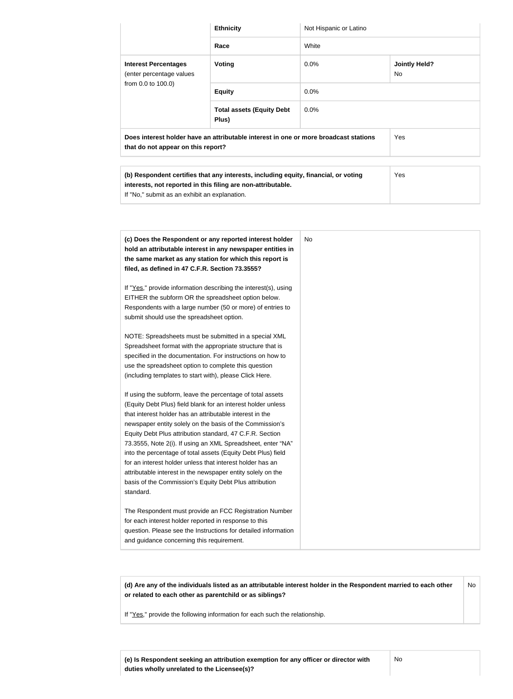|                                                                                                                            | <b>Ethnicity</b>                                                                                                                                    | Not Hispanic or Latino |                             |  |
|----------------------------------------------------------------------------------------------------------------------------|-----------------------------------------------------------------------------------------------------------------------------------------------------|------------------------|-----------------------------|--|
|                                                                                                                            | Race                                                                                                                                                | White                  |                             |  |
| <b>Interest Percentages</b><br>(enter percentage values<br>from 0.0 to 100.0)                                              | Voting                                                                                                                                              | $0.0\%$                | <b>Jointly Held?</b><br>No. |  |
|                                                                                                                            | <b>Equity</b>                                                                                                                                       | $0.0\%$                |                             |  |
|                                                                                                                            | <b>Total assets (Equity Debt</b><br>Plus)                                                                                                           | 0.0%                   |                             |  |
| Does interest holder have an attributable interest in one or more broadcast stations<br>that do not appear on this report? |                                                                                                                                                     |                        | Yes                         |  |
|                                                                                                                            |                                                                                                                                                     |                        |                             |  |
| If "No," submit as an exhibit an explanation.                                                                              | (b) Respondent certifies that any interests, including equity, financial, or voting<br>interests, not reported in this filing are non-attributable. |                        | Yes                         |  |

| (c) Does the Respondent or any reported interest holder<br>hold an attributable interest in any newspaper entities in | No. |
|-----------------------------------------------------------------------------------------------------------------------|-----|
| the same market as any station for which this report is                                                               |     |
| filed, as defined in 47 C.F.R. Section 73.3555?                                                                       |     |
|                                                                                                                       |     |
| If "Yes," provide information describing the interest(s), using                                                       |     |
| EITHER the subform OR the spreadsheet option below.                                                                   |     |
| Respondents with a large number (50 or more) of entries to                                                            |     |
| submit should use the spreadsheet option.                                                                             |     |
|                                                                                                                       |     |
| NOTE: Spreadsheets must be submitted in a special XML                                                                 |     |
| Spreadsheet format with the appropriate structure that is                                                             |     |
| specified in the documentation. For instructions on how to                                                            |     |
| use the spreadsheet option to complete this question                                                                  |     |
| (including templates to start with), please Click Here.                                                               |     |
|                                                                                                                       |     |
| If using the subform, leave the percentage of total assets                                                            |     |
| (Equity Debt Plus) field blank for an interest holder unless                                                          |     |
| that interest holder has an attributable interest in the                                                              |     |
| newspaper entity solely on the basis of the Commission's                                                              |     |
| Equity Debt Plus attribution standard, 47 C.F.R. Section                                                              |     |
| 73.3555, Note 2(i). If using an XML Spreadsheet, enter "NA"                                                           |     |
| into the percentage of total assets (Equity Debt Plus) field                                                          |     |
| for an interest holder unless that interest holder has an                                                             |     |
| attributable interest in the newspaper entity solely on the                                                           |     |
| basis of the Commission's Equity Debt Plus attribution                                                                |     |
| standard.                                                                                                             |     |
|                                                                                                                       |     |
| The Respondent must provide an FCC Registration Number                                                                |     |
| for each interest holder reported in response to this                                                                 |     |
|                                                                                                                       |     |
| question. Please see the Instructions for detailed information<br>and guidance concerning this requirement.           |     |

**(d) Are any of the individuals listed as an attributable interest holder in the Respondent married to each other or related to each other as parentchild or as siblings?** No

If "Yes," provide the following information for each such the relationship.

**(e) Is Respondent seeking an attribution exemption for any officer or director with duties wholly unrelated to the Licensee(s)?**